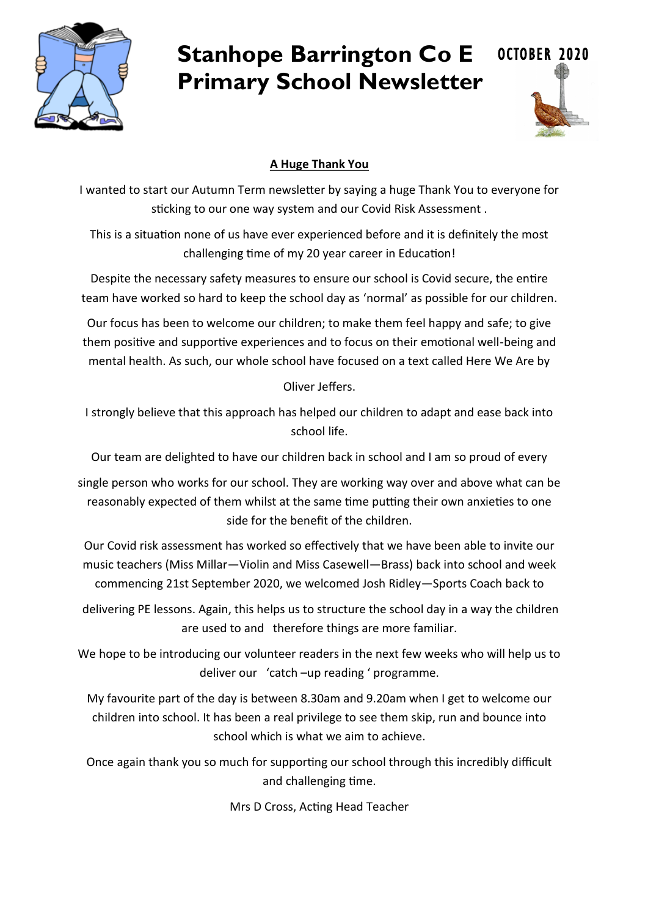

# **Stanhope Barrington Co E Primary School Newsletter**



## **A Huge Thank You**

I wanted to start our Autumn Term newsletter by saying a huge Thank You to everyone for sticking to our one way system and our Covid Risk Assessment .

This is a situation none of us have ever experienced before and it is definitely the most challenging time of my 20 year career in Education!

Despite the necessary safety measures to ensure our school is Covid secure, the entire team have worked so hard to keep the school day as 'normal' as possible for our children.

Our focus has been to welcome our children; to make them feel happy and safe; to give them positive and supportive experiences and to focus on their emotional well-being and mental health. As such, our whole school have focused on a text called Here We Are by

Oliver Jeffers.

I strongly believe that this approach has helped our children to adapt and ease back into school life.

Our team are delighted to have our children back in school and I am so proud of every

single person who works for our school. They are working way over and above what can be reasonably expected of them whilst at the same time putting their own anxieties to one side for the benefit of the children.

Our Covid risk assessment has worked so effectively that we have been able to invite our music teachers (Miss Millar—Violin and Miss Casewell—Brass) back into school and week commencing 21st September 2020, we welcomed Josh Ridley—Sports Coach back to

delivering PE lessons. Again, this helps us to structure the school day in a way the children are used to and therefore things are more familiar.

We hope to be introducing our volunteer readers in the next few weeks who will help us to deliver our 'catch –up reading ' programme.

My favourite part of the day is between 8.30am and 9.20am when I get to welcome our children into school. It has been a real privilege to see them skip, run and bounce into school which is what we aim to achieve.

Once again thank you so much for supporting our school through this incredibly difficult and challenging time.

Mrs D Cross, Acting Head Teacher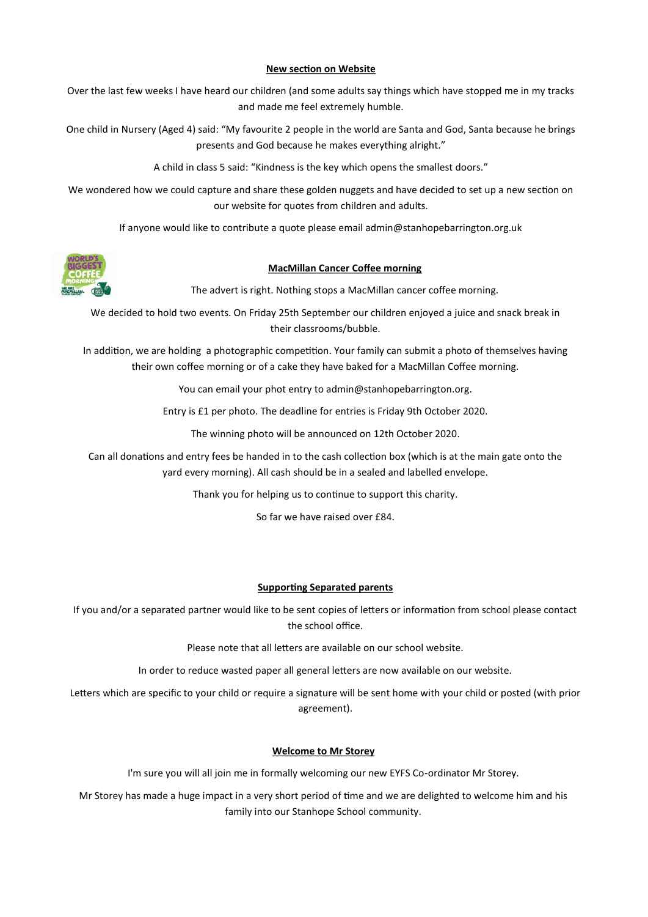#### **New section on Website**

Over the last few weeks I have heard our children (and some adults say things which have stopped me in my tracks and made me feel extremely humble.

One child in Nursery (Aged 4) said: "My favourite 2 people in the world are Santa and God, Santa because he brings presents and God because he makes everything alright."

A child in class 5 said: "Kindness is the key which opens the smallest doors."

We wondered how we could capture and share these golden nuggets and have decided to set up a new section on our website for quotes from children and adults.

If anyone would like to contribute a quote please email admin@stanhopebarrington.org.uk



#### **MacMillan Cancer Coffee morning**

The advert is right. Nothing stops a MacMillan cancer coffee morning.

We decided to hold two events. On Friday 25th September our children enjoyed a juice and snack break in their classrooms/bubble.

In addition, we are holding a photographic competition. Your family can submit a photo of themselves having their own coffee morning or of a cake they have baked for a MacMillan Coffee morning.

You can email your phot entry to admin@stanhopebarrington.org.

Entry is £1 per photo. The deadline for entries is Friday 9th October 2020.

The winning photo will be announced on 12th October 2020.

Can all donations and entry fees be handed in to the cash collection box (which is at the main gate onto the yard every morning). All cash should be in a sealed and labelled envelope.

Thank you for helping us to continue to support this charity.

So far we have raised over  $f84$ .

#### **Supporting Separated parents**

If you and/or a separated partner would like to be sent copies of letters or information from school please contact the school office.

Please note that all letters are available on our school website.

In order to reduce wasted paper all general letters are now available on our website.

Letters which are specific to your child or require a signature will be sent home with your child or posted (with prior agreement).

#### **Welcome to Mr Storey**

I'm sure you will all join me in formally welcoming our new EYFS Co-ordinator Mr Storey.

Mr Storey has made a huge impact in a very short period of time and we are delighted to welcome him and his family into our Stanhope School community.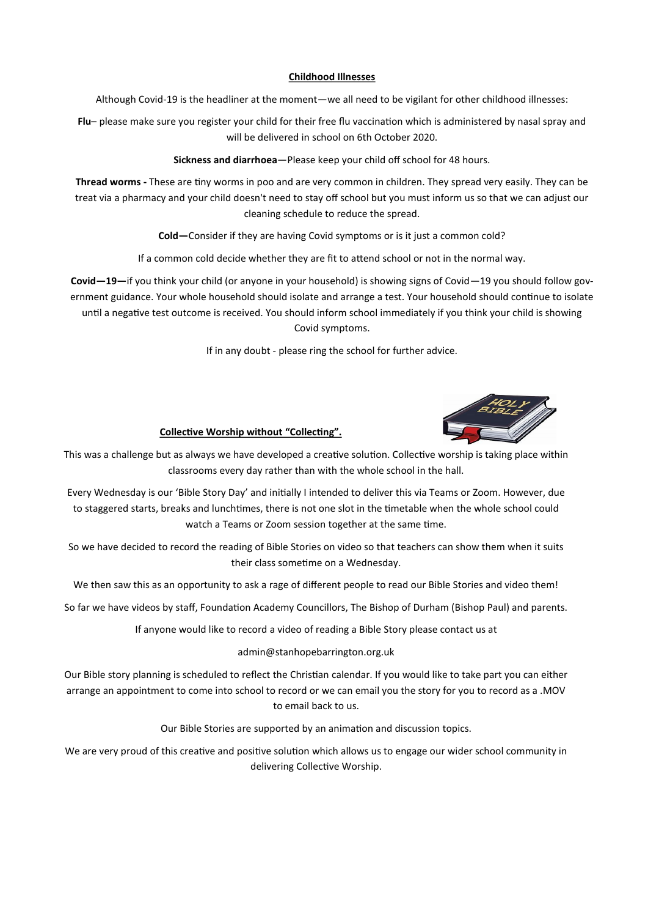#### **Childhood Illnesses**

Although Covid-19 is the headliner at the moment—we all need to be vigilant for other childhood illnesses:

**Flu**– please make sure you register your child for their free flu vaccination which is administered by nasal spray and will be delivered in school on 6th October 2020.

**Sickness and diarrhoea**—Please keep your child off school for 48 hours.

**Thread worms -** These are tiny worms in poo and are very common in children. They spread very easily. They can be treat via a pharmacy and your child doesn't need to stay off school but you must inform us so that we can adjust our cleaning schedule to reduce the spread.

**Cold—**Consider if they are having Covid symptoms or is it just a common cold?

If a common cold decide whether they are fit to attend school or not in the normal way.

**Covid—19—**if you think your child (or anyone in your household) is showing signs of Covid—19 you should follow government guidance. Your whole household should isolate and arrange a test. Your household should continue to isolate until a negative test outcome is received. You should inform school immediately if you think your child is showing Covid symptoms.

If in any doubt - please ring the school for further advice.



#### **Collective Worship without "Collecting".**

This was a challenge but as always we have developed a creative solution. Collective worship is taking place within classrooms every day rather than with the whole school in the hall.

Every Wednesday is our 'Bible Story Day' and initially I intended to deliver this via Teams or Zoom. However, due to staggered starts, breaks and lunchtimes, there is not one slot in the timetable when the whole school could watch a Teams or Zoom session together at the same time.

So we have decided to record the reading of Bible Stories on video so that teachers can show them when it suits their class sometime on a Wednesday.

We then saw this as an opportunity to ask a rage of different people to read our Bible Stories and video them!

So far we have videos by staff, Foundation Academy Councillors, The Bishop of Durham (Bishop Paul) and parents.

If anyone would like to record a video of reading a Bible Story please contact us at

admin@stanhopebarrington.org.uk

Our Bible story planning is scheduled to reflect the Christian calendar. If you would like to take part you can either arrange an appointment to come into school to record or we can email you the story for you to record as a .MOV to email back to us.

Our Bible Stories are supported by an animation and discussion topics.

We are very proud of this creative and positive solution which allows us to engage our wider school community in delivering Collective Worship.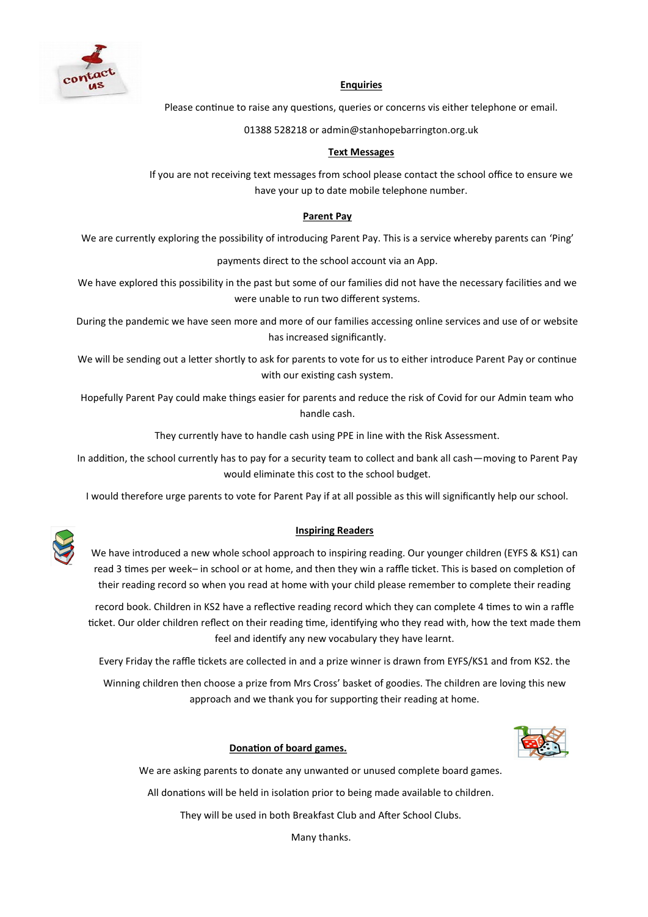

#### **Enquiries**

Please continue to raise any questions, queries or concerns vis either telephone or email.

01388 528218 or admin@stanhopebarrington.org.uk

#### **Text Messages**

If you are not receiving text messages from school please contact the school office to ensure we have your up to date mobile telephone number.

#### **Parent Pay**

We are currently exploring the possibility of introducing Parent Pay. This is a service whereby parents can 'Ping'

payments direct to the school account via an App.

We have explored this possibility in the past but some of our families did not have the necessary facilities and we were unable to run two different systems.

During the pandemic we have seen more and more of our families accessing online services and use of or website has increased significantly.

We will be sending out a letter shortly to ask for parents to vote for us to either introduce Parent Pay or continue with our existing cash system.

Hopefully Parent Pay could make things easier for parents and reduce the risk of Covid for our Admin team who handle cash.

They currently have to handle cash using PPE in line with the Risk Assessment.

In addition, the school currently has to pay for a security team to collect and bank all cash—moving to Parent Pay would eliminate this cost to the school budget.

I would therefore urge parents to vote for Parent Pay if at all possible as this will significantly help our school.



#### **Inspiring Readers**

We have introduced a new whole school approach to inspiring reading. Our younger children (EYFS & KS1) can read 3 times per week– in school or at home, and then they win a raffle ticket. This is based on completion of their reading record so when you read at home with your child please remember to complete their reading

record book. Children in KS2 have a reflective reading record which they can complete 4 times to win a raffle ticket. Our older children reflect on their reading time, identifying who they read with, how the text made them feel and identify any new vocabulary they have learnt.

Every Friday the raffle tickets are collected in and a prize winner is drawn from EYFS/KS1 and from KS2. the

Winning children then choose a prize from Mrs Cross' basket of goodies. The children are loving this new approach and we thank you for supporting their reading at home.

#### **Donation of board games.**



We are asking parents to donate any unwanted or unused complete board games.

All donations will be held in isolation prior to being made available to children.

They will be used in both Breakfast Club and After School Clubs.

Many thanks.